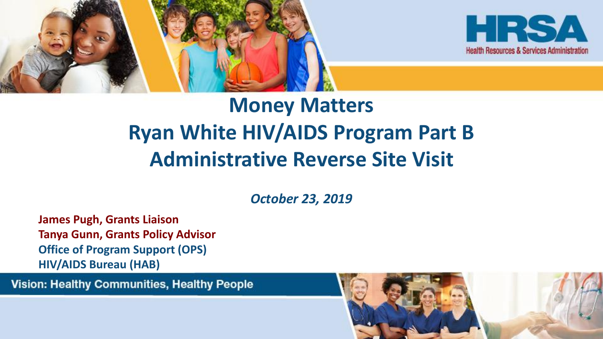



### **Money Matters Ryan White HIV/AIDS Program Part B Administrative Reverse Site Visit**

*October 23, 2019*

**James Pugh, Grants Liaison Tanya Gunn, Grants Policy Advisor Office of Program Support (OPS) HIV/AIDS Bureau (HAB)**

**Vision: Healthy Communities, Healthy People** 

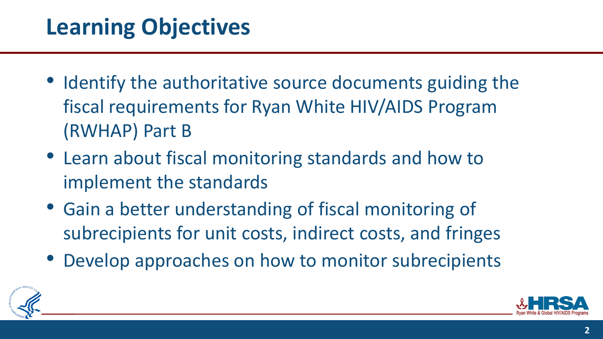### **Learning Objectives**

- Identify the authoritative source documents guiding the fiscal requirements for Ryan White HIV/AIDS Program (RWHAP) Part B
- Learn about fiscal monitoring standards and how to implement the standards
- Gain a better understanding of fiscal monitoring of subrecipients for unit costs, indirect costs, and fringes
- Develop approaches on how to monitor subrecipients



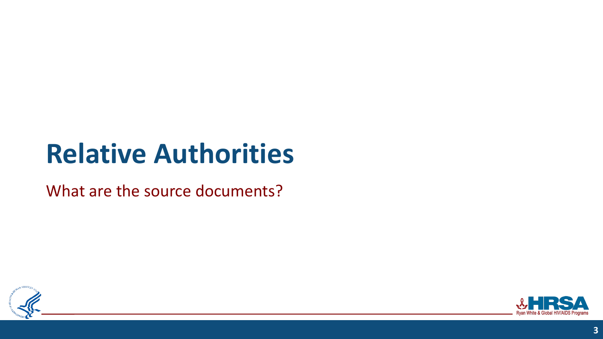# **Relative Authorities**

What are the source documents?



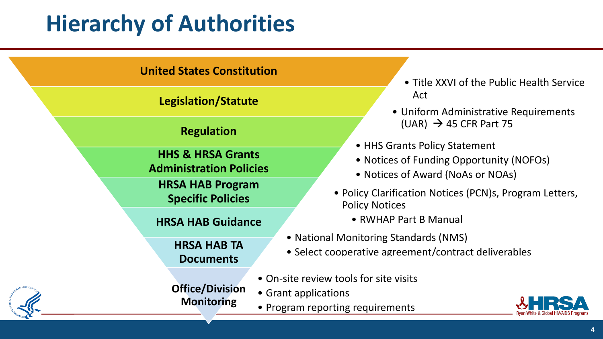### **Hierarchy of Authorities**

#### **United States Constitution** • Title XXVI of the Public Health Service **Legislation/Statute Legislation/Statute Act** • Uniform Administrative Requirements **Regulation** (UAR) → 45 CFR Part 75 • HHS Grants Policy Statement • Notices of Funding Opportunity (NOFOs) • Notices of Award (NoAs or NOAs) **HHS & HRSA Grants Administration Policies** • Policy Clarification Notices (PCN)s, Program Letters, Policy Notices **HRSA HAB Program Specific Policies HRSA HAB Guidance** • **RWHAP Part B Manual** • National Monitoring Standards (NMS) • Select cooperative agreement/contract deliverables **HRSA HAB TA Documents** • On-site review tools for site visits • Grant applications • Program reporting requirements **Office/Division Monitoring**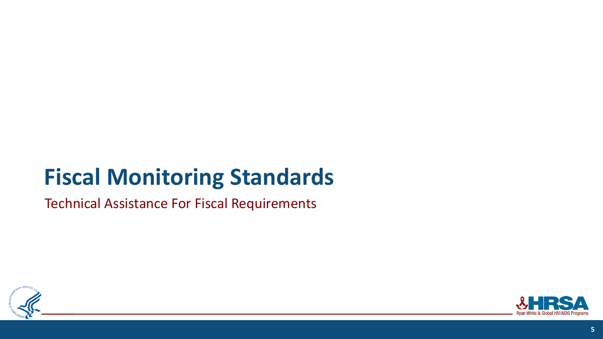### **Fiscal Monitoring Standards**

Technical Assistance For Fiscal Requirements



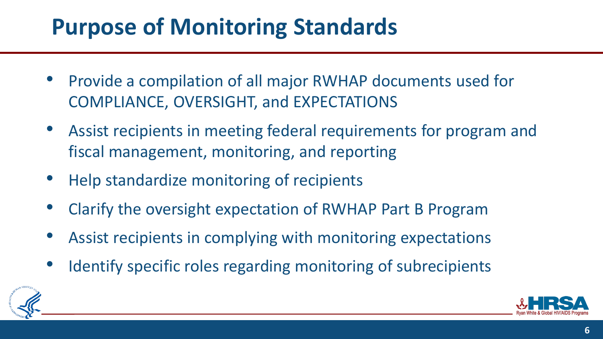### **Purpose of Monitoring Standards**

- Provide a compilation of all major RWHAP documents used for COMPLIANCE, OVERSIGHT, and EXPECTATIONS
- Assist recipients in meeting federal requirements for program and fiscal management, monitoring, and reporting
- Help standardize monitoring of recipients
- Clarify the oversight expectation of RWHAP Part B Program
- Assist recipients in complying with monitoring expectations
- Identify specific roles regarding monitoring of subrecipients



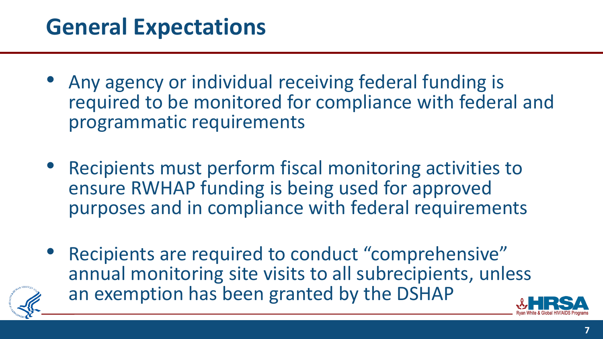### **General Expectations**

- Any agency or individual receiving federal funding is required to be monitored for compliance with federal and programmatic requirements
- Recipients must perform fiscal monitoring activities to ensure RWHAP funding is being used for approved purposes and in compliance with federal requirements
- Recipients are required to conduct "comprehensive" annual monitoring site visits to all subrecipients, unless an exemption has been granted by the DSHAP

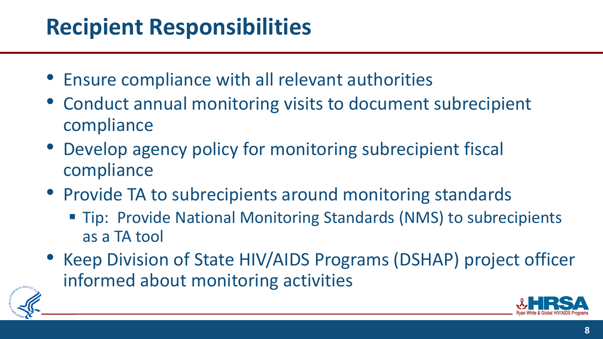### **Recipient Responsibilities**

- Ensure compliance with all relevant authorities
- Conduct annual monitoring visits to document subrecipient compliance
- Develop agency policy for monitoring subrecipient fiscal compliance
- Provide TA to subrecipients around monitoring standards
	- Tip: Provide National Monitoring Standards (NMS) to subrecipients as a TA tool
- Keep Division of State HIV/AIDS Programs (DSHAP) project officer informed about monitoring activities



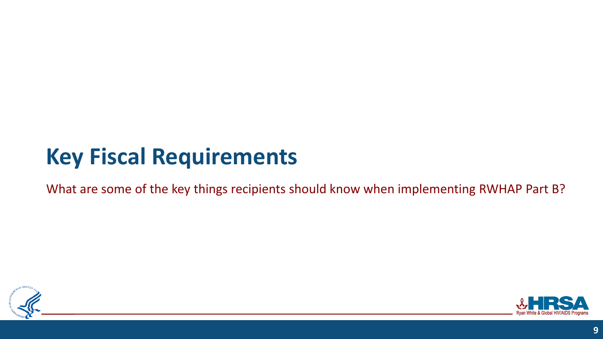## **Key Fiscal Requirements**

What are some of the key things recipients should know when implementing RWHAP Part B?



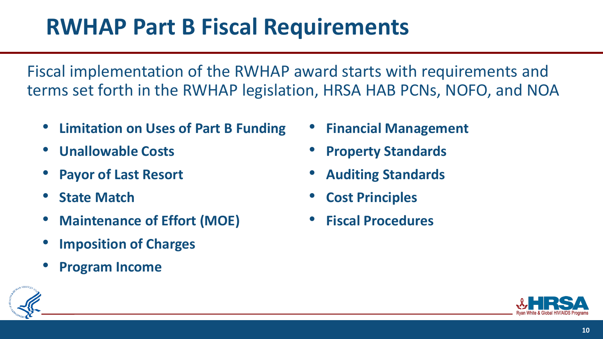### **RWHAP Part B Fiscal Requirements**

Fiscal implementation of the RWHAP award starts with requirements and terms set forth in the RWHAP legislation, HRSA HAB PCNs, NOFO, and NOA

- **Limitation on Uses of Part B Funding**
- **Unallowable Costs**
- **Payor of Last Resort**
- **State Match**
- **Maintenance of Effort (MOE)**
- **Imposition of Charges**
- **Program Income**
- **Financial Management**
- **Property Standards**
- **Auditing Standards**
- **Cost Principles**
- **Fiscal Procedures**



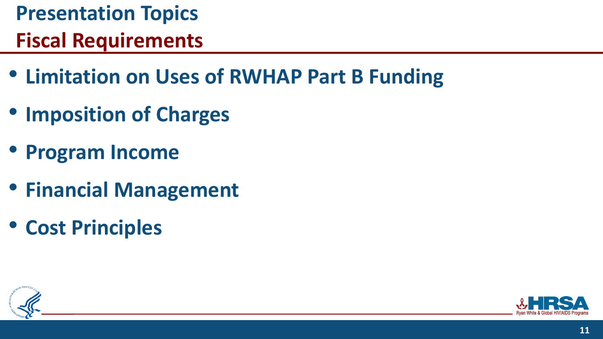# **Presentation Topics**

### **Fiscal Requirements**

- **Limitation on Uses of RWHAP Part B Funding**
- **Imposition of Charges**
- **Program Income**
- **Financial Management**
- **Cost Principles**



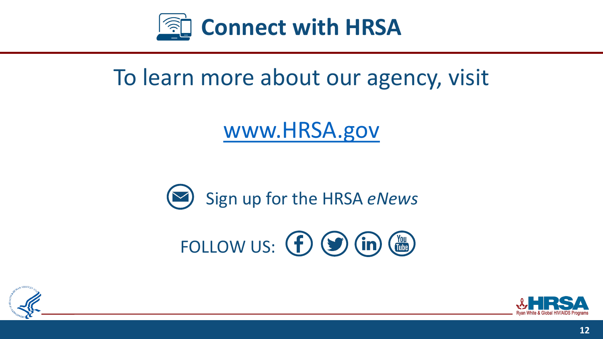

### To learn more about our agency, visit

### [www.HRSA.gov](http://www.hrsa.gov/)



# FOLLOW US:  $\bigoplus$   $\bigoplus$   $\bigoplus$   $\bigoplus$   $\bigoplus$



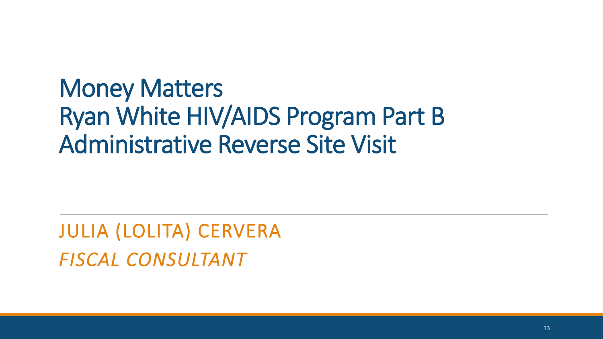## Money Matters Ryan White HIV/AIDS Program Part B Administrative Reverse Site Visit

JULIA (LOLITA) CERVERA *FISCAL CONSULTANT*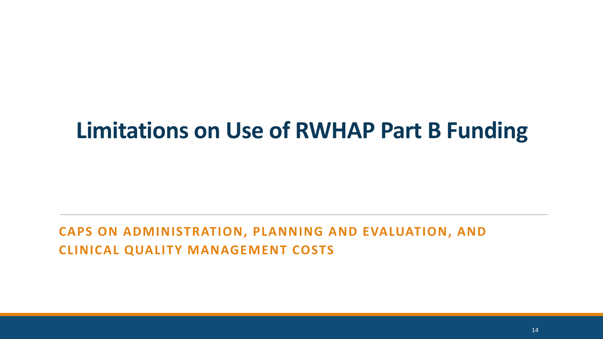### **Limitations on Use of RWHAP Part B Funding**

#### **CAPS ON ADMINISTRATION, PLANNING AND EVALUATION, AND CLINICAL QUALITY MANAGEMENT COSTS**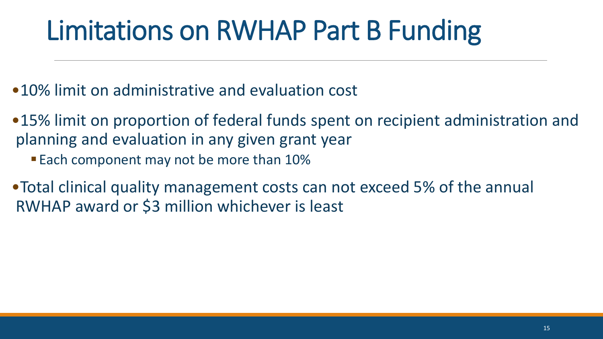# Limitations on RWHAP Part B Funding

- •10% limit on administrative and evaluation cost
- •15% limit on proportion of federal funds spent on recipient administration and planning and evaluation in any given grant year
	- Each component may not be more than 10%
- •Total clinical quality management costs can not exceed 5% of the annual RWHAP award or \$3 million whichever is least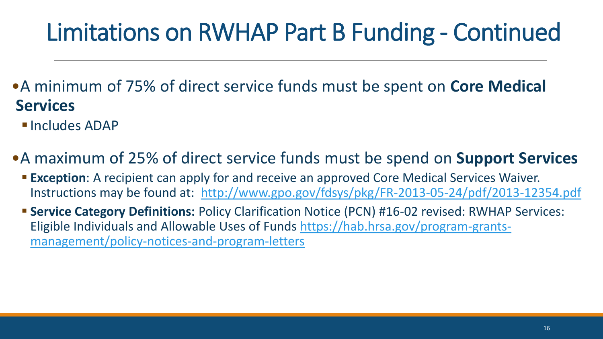## Limitations on RWHAP Part B Funding - Continued

- •A minimum of 75% of direct service funds must be spent on **Core Medical Services**
	- **<u>■ Includes ADAP</u>**
- •A maximum of 25% of direct service funds must be spend on **Support Services**
	- **Exception**: A recipient can apply for and receive an approved Core Medical Services Waiver. Instructions may be found at: <http://www.gpo.gov/fdsys/pkg/FR-2013-05-24/pdf/2013-12354.pdf>
	- **EXERVICE Category Definitions: Policy Clarification Notice (PCN) #16-02 revised: RWHAP Services:** [Eligible Individuals and Allowable Uses of Funds https://hab.hrsa.gov/program-grants](https://hab.hrsa.gov/program-grants-management/policy-notices-and-program-letters)management/policy-notices-and-program-letters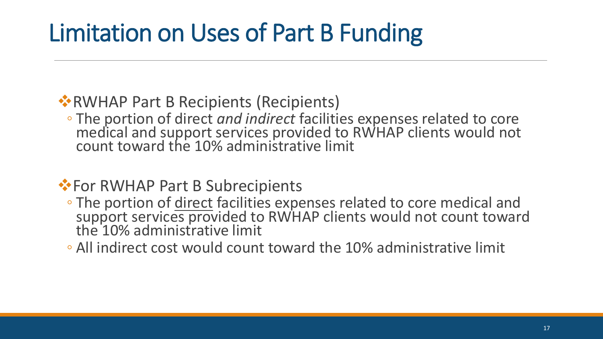# Limitation on Uses of Part B Funding

#### ❖RWHAP Part B Recipients (Recipients)

◦ The portion of direct *and indirect* facilities expenses related to core medical and support services provided to RWHAP clients would not count toward the 10% administrative limit

#### **◆ For RWHAP Part B Subrecipients**

- The portion of direct facilities expenses related to core medical and support services provided to RWHAP clients would not count toward the 10% administrative limit
- All indirect cost would count toward the 10% administrative limit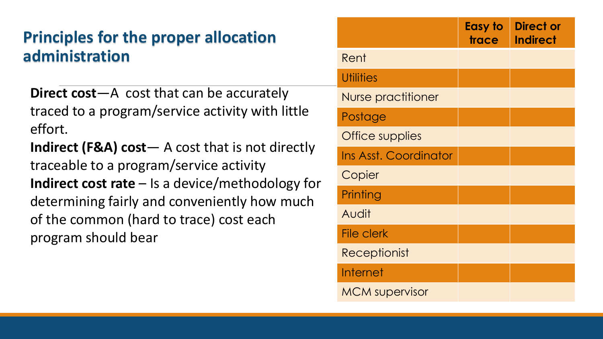#### **Principles for the proper allocation administration**

**Direct cost**—A cost that can be accurately traced to a program/service activity with little effort.

**Indirect (F&A) cost**— A cost that is not directly traceable to a program/service activity **Indirect cost rate** – Is a device/methodology for determining fairly and conveniently how much of the common (hard to trace) cost each program should bear

|                       | <b>Easy to</b><br>trace | <b>Direct or</b><br><b>Indirect</b> |
|-----------------------|-------------------------|-------------------------------------|
| Rent                  |                         |                                     |
| <b>Utilities</b>      |                         |                                     |
| Nurse practitioner    |                         |                                     |
| Postage               |                         |                                     |
| Office supplies       |                         |                                     |
| Ins Asst. Coordinator |                         |                                     |
| Copier                |                         |                                     |
| Printing              |                         |                                     |
| Audit                 |                         |                                     |
| <b>File clerk</b>     |                         |                                     |
| Receptionist          |                         |                                     |
| Internet              |                         |                                     |
| <b>MCM</b> supervisor |                         |                                     |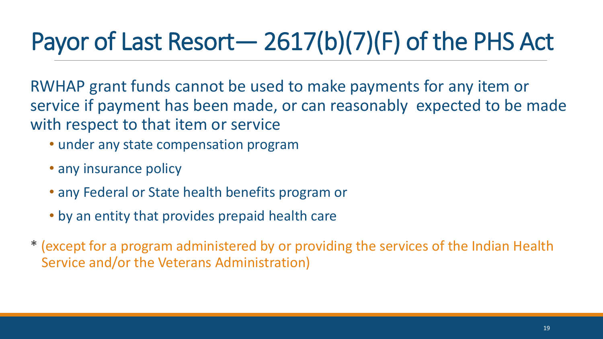# Payor of Last Resort— 2617(b)(7)(F) of the PHS Act

RWHAP grant funds cannot be used to make payments for any item or service if payment has been made, or can reasonably expected to be made with respect to that item or service

- under any state compensation program
- any insurance policy
- any Federal or State health benefits program or
- by an entity that provides prepaid health care
- \* (except for a program administered by or providing the services of the Indian Health Service and/or the Veterans Administration)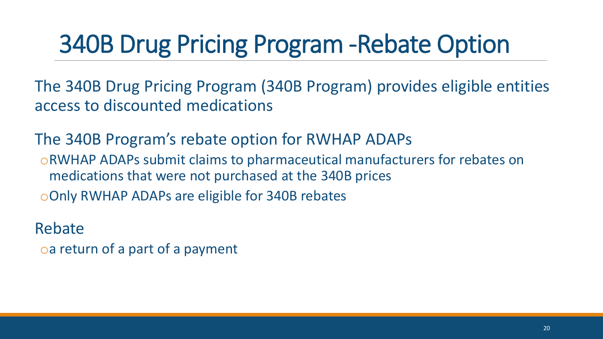# 340B Drug Pricing Program -Rebate Option

The 340B Drug Pricing Program (340B Program) provides eligible entities access to discounted medications

The 340B Program's rebate option for RWHAP ADAPs oRWHAP ADAPs submit claims to pharmaceutical manufacturers for rebates on medications that were not purchased at the 340B prices oOnly RWHAP ADAPs are eligible for 340B rebates

Rebate

oa return of a part of a payment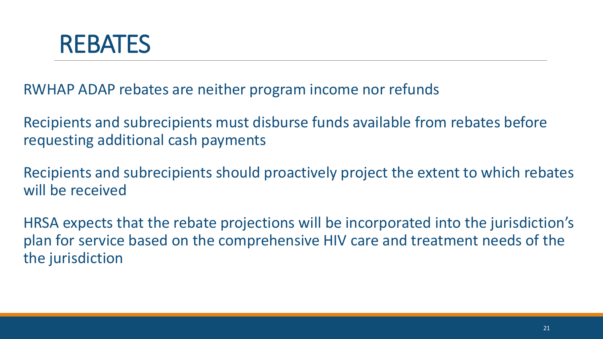

RWHAP ADAP rebates are neither program income nor refunds

Recipients and subrecipients must disburse funds available from rebates before requesting additional cash payments

Recipients and subrecipients should proactively project the extent to which rebates will be received

HRSA expects that the rebate projections will be incorporated into the jurisdiction's plan for service based on the comprehensive HIV care and treatment needs of the the jurisdiction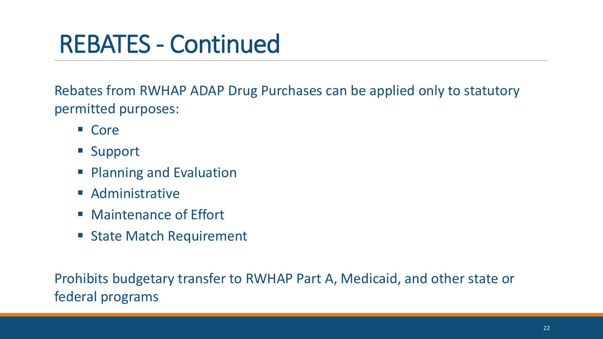# REBATES - Continued

Rebates from RWHAP ADAP Drug Purchases can be applied only to statutory permitted purposes:

- Core
- Support
- Planning and Evaluation
- Administrative
- Maintenance of Effort
- State Match Requirement

Prohibits budgetary transfer to RWHAP Part A, Medicaid, and other state or federal programs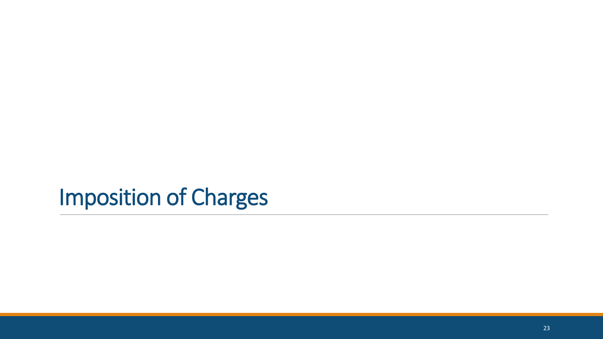### Imposition of Charges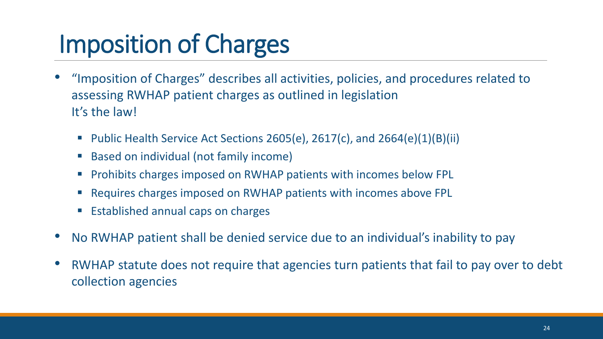# Imposition of Charges

- "Imposition of Charges" describes all activities, policies, and procedures related to assessing RWHAP patient charges as outlined in legislation It's the law!
	- **•** Public Health Service Act Sections 2605(e), 2617(c), and 2664(e)(1)(B)(ii)
	- Based on individual (not family income)
	- Prohibits charges imposed on RWHAP patients with incomes below FPL
	- Requires charges imposed on RWHAP patients with incomes above FPL
	- Established annual caps on charges
- No RWHAP patient shall be denied service due to an individual's inability to pay
- RWHAP statute does not require that agencies turn patients that fail to pay over to debt collection agencies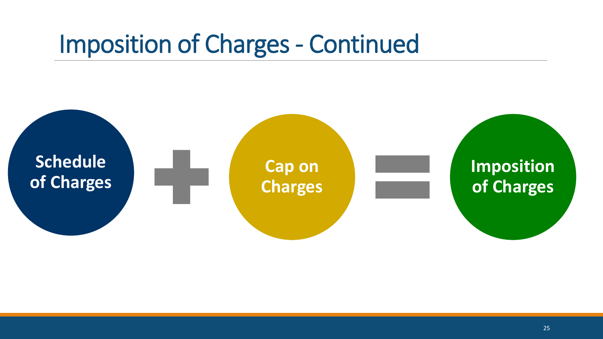## Imposition of Charges - Continued

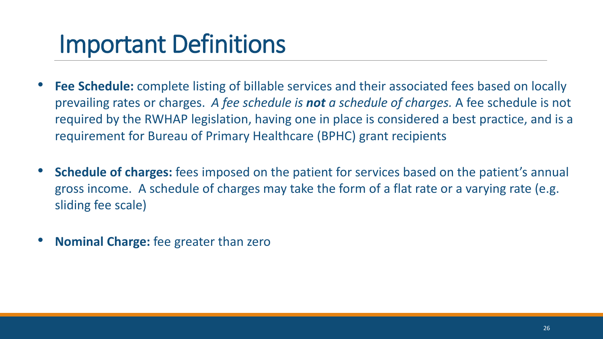## Important Definitions **(1**

- **Fee Schedule:** complete listing of billable services and their associated fees based on locally prevailing rates or charges. *A fee schedule is not a schedule of charges.* A fee schedule is not required by the RWHAP legislation, having one in place is considered a best practice, and is a requirement for Bureau of Primary Healthcare (BPHC) grant recipients
- **Schedule of charges:** fees imposed on the patient for services based on the patient's annual gross income. A schedule of charges may take the form of a flat rate or a varying rate (e.g. sliding fee scale)
- **Nominal Charge:** fee greater than zero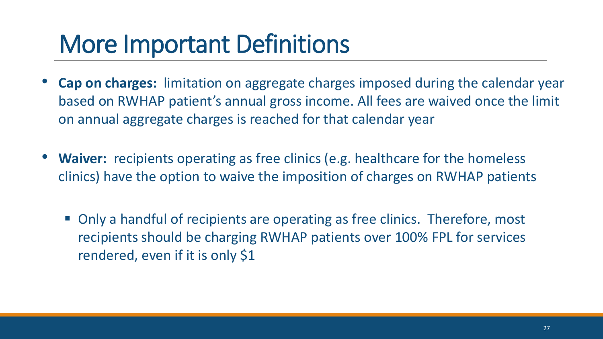## More Important Definitions **(**

- **Cap on charges:** limitation on aggregate charges imposed during the calendar year based on RWHAP patient's annual gross income. All fees are waived once the limit on annual aggregate charges is reached for that calendar year
- **Waiver:** recipients operating as free clinics (e.g. healthcare for the homeless clinics) have the option to waive the imposition of charges on RWHAP patients
	- Only a handful of recipients are operating as free clinics. Therefore, most recipients should be charging RWHAP patients over 100% FPL for services rendered, even if it is only \$1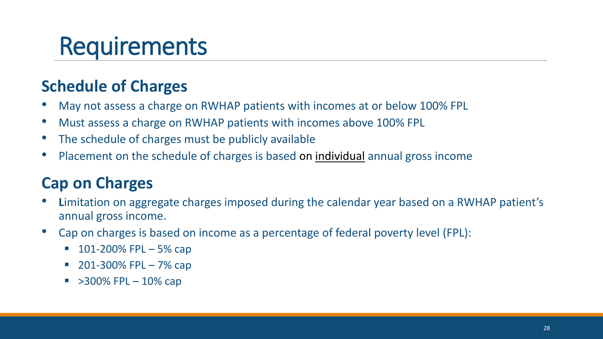## Requirements

#### **Schedule of Charges**

- May not assess a charge on RWHAP patients with incomes at or below 100% FPL
- Must assess a charge on RWHAP patients with incomes above 100% FPL
- The schedule of charges must be publicly available
- Placement on the schedule of charges is based on individual annual gross income

#### **Cap on Charges**

- **L**imitation on aggregate charges imposed during the calendar year based on a RWHAP patient's annual gross income.
- Cap on charges is based on income as a percentage of federal poverty level (FPL):
	- $\blacksquare$  101-200% FPL 5% cap
	- $\blacksquare$  201-300% FPL 7% cap
	- $\sim$  >300% FPL 10% cap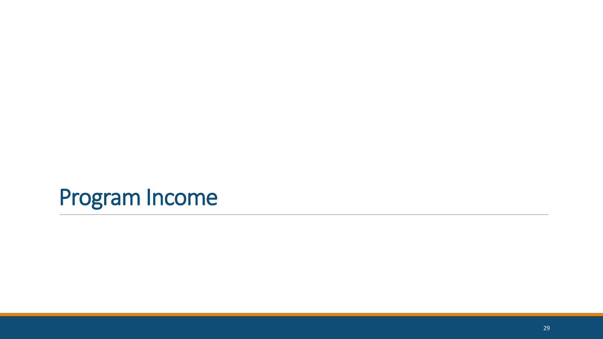## Program Income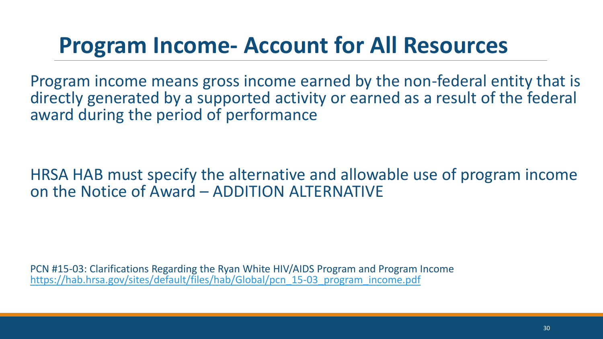### **Program Income- Account for All Resources**

Program income means gross income earned by the non-federal entity that is directly generated by a supported activity or earned as a result of the federal award during the period of performance

#### HRSA HAB must specify the alternative and allowable use of program income on the Notice of Award – ADDITION ALTERNATIVE

PCN #15-03: Clarifications Regarding the Ryan White HIV/AIDS Program and Program Income [https://hab.hrsa.gov/sites/default/files/hab/Global/pcn\\_15-03\\_program\\_income.pdf](https://hab.hrsa.gov/sites/default/files/hab/Global/pcn_15-03_program_income.pdf)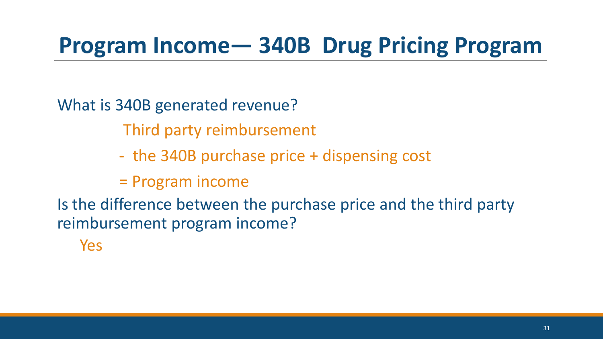### **Program Income— 340B Drug Pricing Program**

What is 340B generated revenue?

Third party reimbursement

- the 340B purchase price + dispensing cost
- = Program income

Is the difference between the purchase price and the third party reimbursement program income?

Yes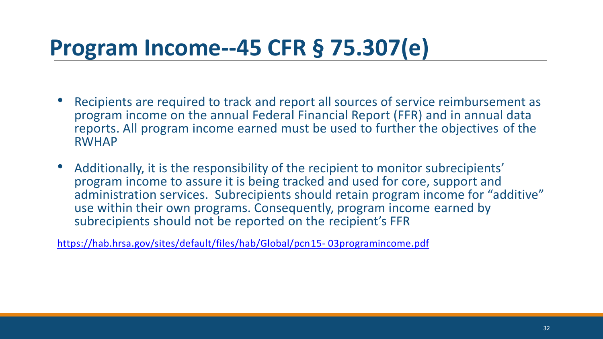### **Program Income--45 CFR § 75.307(e)**

- Recipients are required to track and report all sources of service reimbursement as program income on the annual Federal Financial Report (FFR) and in annual data reports. All program income earned must be used to further the objectives of the RWHAP
- Additionally, it is the responsibility of the recipient to monitor subrecipients' program income to assure it is being tracked and used for core, support and administration services. Subrecipients should retain program income for "additive" use within their own programs. Consequently, program income earned by subrecipients should not be reported on the recipient's FFR

https://hab.hrsa.gov/sites/default/files/hab/Global/pcn15- 03programincome.pdf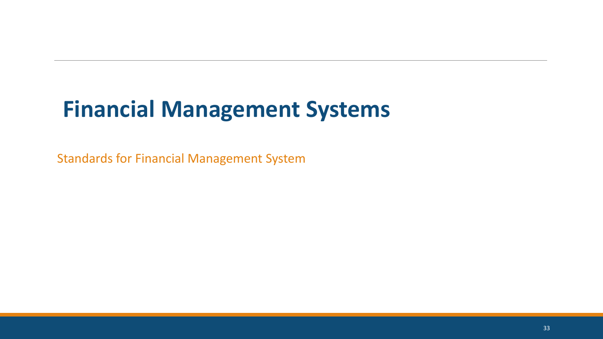## **Financial Management Systems**

Standards for Financial Management System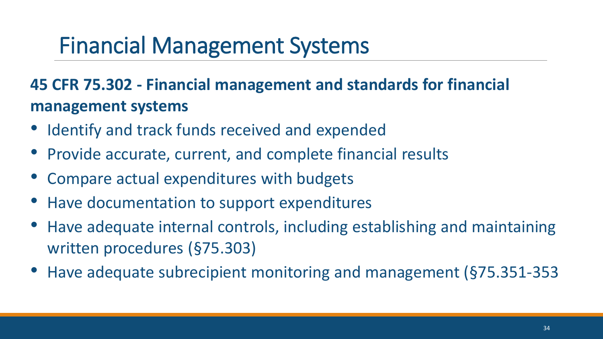### Financial Management Systems

#### **45 CFR 75.302 - Financial management and standards for financial management systems**

- Identify and track funds received and expended
- Provide accurate, current, and complete financial results
- Compare actual expenditures with budgets
- Have documentation to support expenditures
- Have adequate internal controls, including establishing and maintaining written procedures (§75.303)
- Have adequate subrecipient monitoring and management (§75.351-353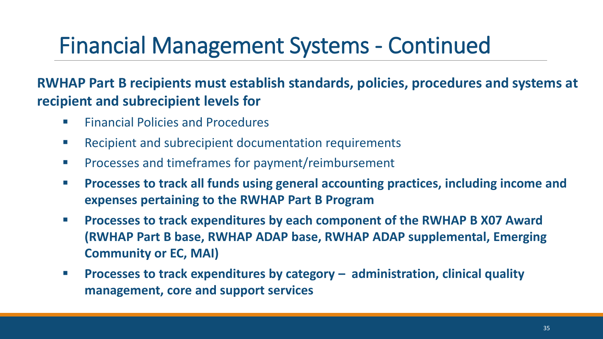## Financial Management Systems - Continued

#### **RWHAP Part B recipients must establish standards, policies, procedures and systems at recipient and subrecipient levels for**

- Financial Policies and Procedures
- Recipient and subrecipient documentation requirements
- Processes and timeframes for payment/reimbursement
- **<b>EXPRO** Processes to track all funds using general accounting practices, including income and **expenses pertaining to the RWHAP Part B Program**
- **Processes to track expenditures by each component of the RWHAP B X07 Award (RWHAP Part B base, RWHAP ADAP base, RWHAP ADAP supplemental, Emerging Community or EC, MAI)**
- **Processes to track expenditures by category – administration, clinical quality management, core and support services**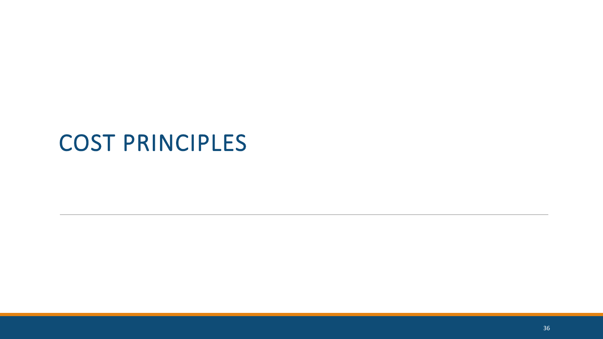### COST PRINCIPLES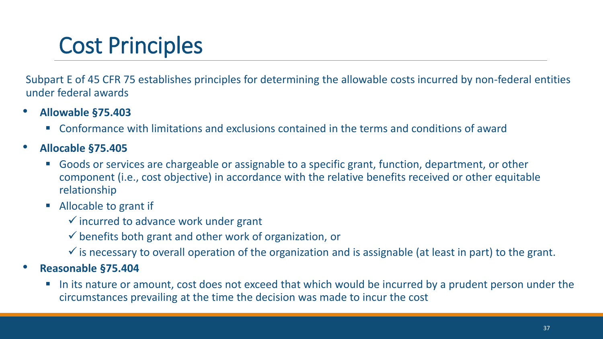### Cost Principles

Subpart E of 45 CFR 75 establishes principles for determining the allowable costs incurred by non-federal entities under federal awards

- **Allowable §75.403**
	- Conformance with limitations and exclusions contained in the terms and conditions of award
- **Allocable §75.405**
	- Goods or services are chargeable or assignable to a specific grant, function, department, or other component (i.e., cost objective) in accordance with the relative benefits received or other equitable relationship
	- Allocable to grant if
		- $\checkmark$  incurred to advance work under grant
		- $\checkmark$  benefits both grant and other work of organization, or
		- $\checkmark$  is necessary to overall operation of the organization and is assignable (at least in part) to the grant.
- **Reasonable §75.404**
	- In its nature or amount, cost does not exceed that which would be incurred by a prudent person under the circumstances prevailing at the time the decision was made to incur the cost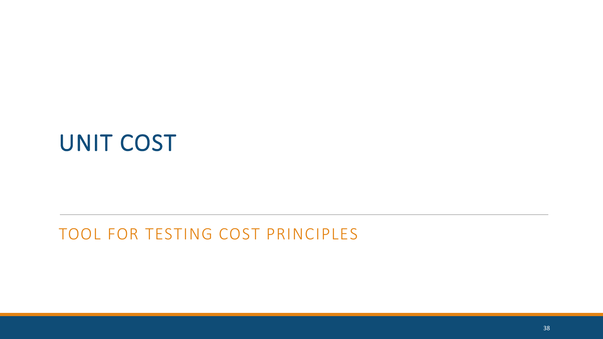### UNIT COST

#### TOOL FOR TESTING COST PRINCIPLES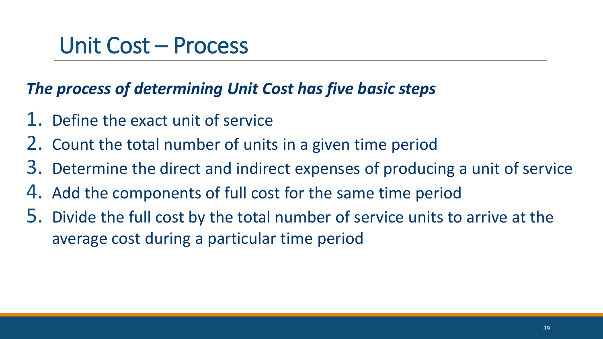### Unit Cost – Process

#### *The process of determining Unit Cost has five basic steps*

- 1. Define the exact unit of service
- 2. Count the total number of units in a given time period
- 3. Determine the direct and indirect expenses of producing a unit of service
- 4. Add the components of full cost for the same time period
- 5. Divide the full cost by the total number of service units to arrive at the average cost during a particular time period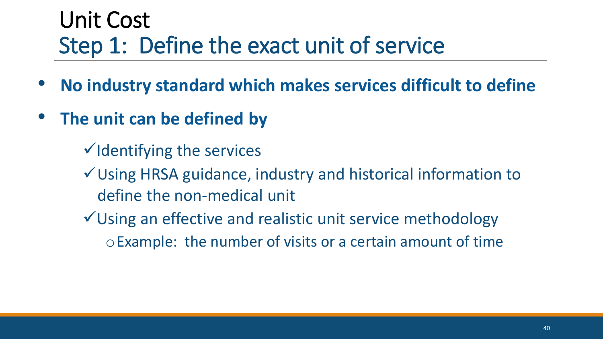### Unit Cost Step 1: Define the exact unit of service

- **No industry standard which makes services difficult to define**
- **The unit can be defined by**
	- ✓Identifying the services
	- ✓Using HRSA guidance, industry and historical information to define the non-medical unit
	- ✓Using an effective and realistic unit service methodology oExample: the number of visits or a certain amount of time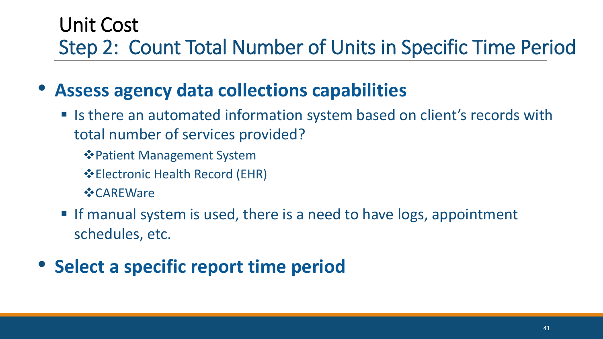### Unit Cost Step 2: Count Total Number of Units in Specific Time Period

### • **Assess agency data collections capabilities**

- Is there an automated information system based on client's records with total number of services provided?
	- ❖Patient Management System
	- ❖Electronic Health Record (EHR)
	- ❖CAREWare
- **If manual system is used, there is a need to have logs, appointment** schedules, etc.
- **Select a specific report time period**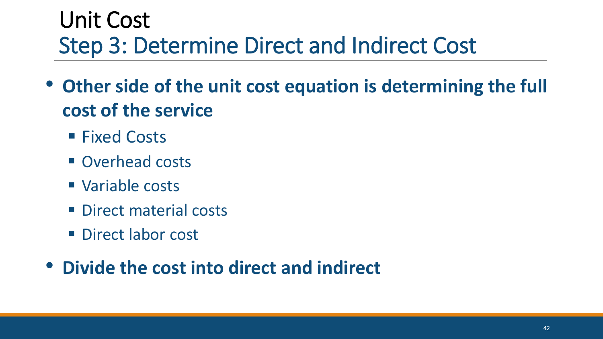### Unit Cost Step 3: Determine Direct and Indirect Cost

- **Other side of the unit cost equation is determining the full cost of the service** 
	- Fixed Costs
	- Overhead costs
	- Variable costs
	- **Direct material costs**
	- **Direct labor cost**

### • **Divide the cost into direct and indirect**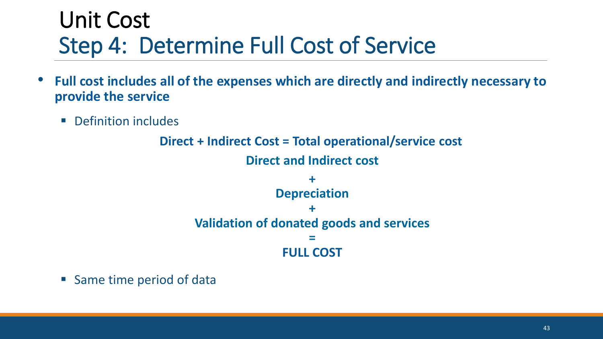### Unit Cost Step 4: Determine Full Cost of Service

- **Full cost includes all of the expenses which are directly and indirectly necessary to provide the service**
	- Definition includes

**Direct + Indirect Cost = Total operational/service cost Direct and Indirect cost + Depreciation + Validation of donated goods and services = FULL COST**

■ Same time period of data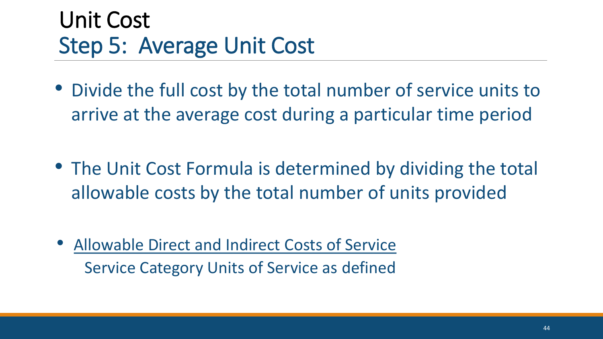### Unit Cost Step 5: Average Unit Cost

• Divide the full cost by the total number of service units to arrive at the average cost during a particular time period

- The Unit Cost Formula is determined by dividing the total allowable costs by the total number of units provided
- Allowable Direct and Indirect Costs of Service Service Category Units of Service as defined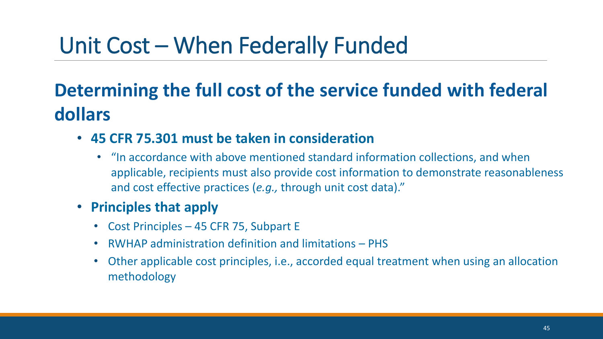### Unit Cost – When Federally Funded

### **Determining the full cost of the service funded with federal dollars**

- **45 CFR 75.301 must be taken in consideration**
	- "In accordance with above mentioned standard information collections, and when applicable, recipients must also provide cost information to demonstrate reasonableness and cost effective practices (*e.g.,* through unit cost data)."
- **Principles that apply**
	- Cost Principles 45 CFR 75, Subpart E
	- RWHAP administration definition and limitations PHS
	- Other applicable cost principles, i.e., accorded equal treatment when using an allocation methodology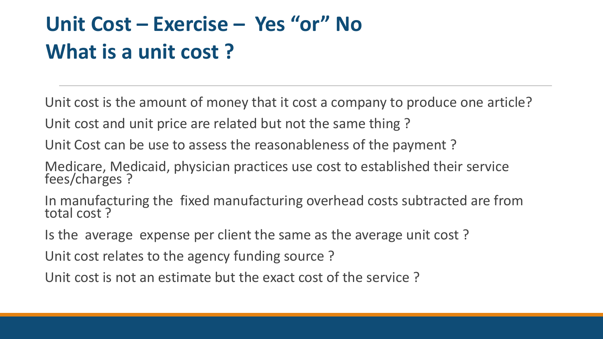### **Unit Cost – Exercise – Yes "or" No What is a unit cost ?**

Unit cost is the amount of money that it cost a company to produce one article?

Unit cost and unit price are related but not the same thing ?

Unit Cost can be use to assess the reasonableness of the payment ?

Medicare, Medicaid, physician practices use cost to established their service fees/charges ?

In manufacturing the fixed manufacturing overhead costs subtracted are from total cost ?

Is the average expense per client the same as the average unit cost ?

Unit cost relates to the agency funding source ?

Unit cost is not an estimate but the exact cost of the service ?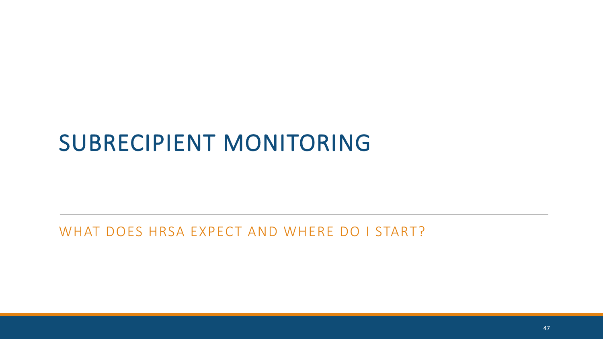### SUBRECIPIENT MONITORING

#### WHAT DOES HRSA EXPECT AND WHERE DO I START?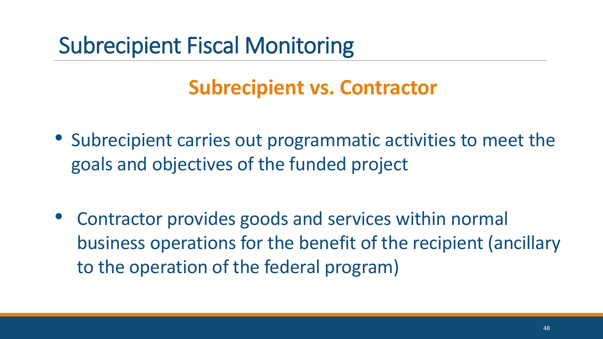### Subrecipient Fiscal Monitoring

### **Subrecipient vs. Contractor**

- Subrecipient carries out programmatic activities to meet the goals and objectives of the funded project
- Contractor provides goods and services within normal business operations for the benefit of the recipient (ancillary to the operation of the federal program)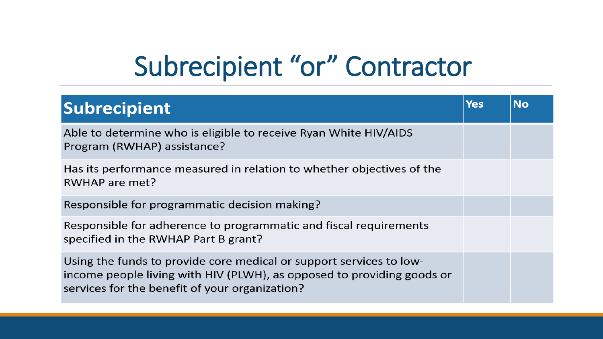# Subrecipient "or" Contractor

| <b>Subrecipient</b>                                                                                                                                                                             | <b>Yes</b> | <b>No</b> |
|-------------------------------------------------------------------------------------------------------------------------------------------------------------------------------------------------|------------|-----------|
| Able to determine who is eligible to receive Ryan White HIV/AIDS<br>Program (RWHAP) assistance?                                                                                                 |            |           |
| Has its performance measured in relation to whether objectives of the<br>RWHAP are met?                                                                                                         |            |           |
| Responsible for programmatic decision making?                                                                                                                                                   |            |           |
| Responsible for adherence to programmatic and fiscal requirements<br>specified in the RWHAP Part B grant?                                                                                       |            |           |
| Using the funds to provide core medical or support services to low-<br>income people living with HIV (PLWH), as opposed to providing goods or<br>services for the benefit of your organization? |            |           |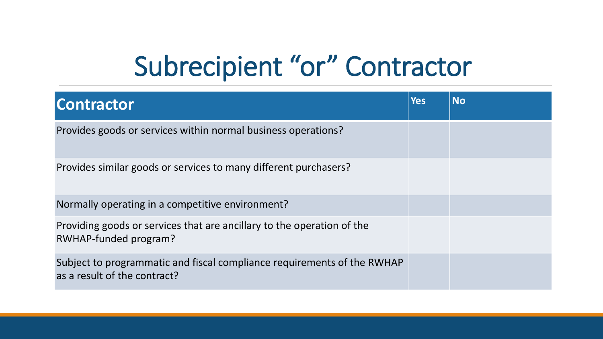# Subrecipient "or" Contractor

| <b>Contractor</b>                                                                                       | <b>Yes</b> | <b>No</b> |
|---------------------------------------------------------------------------------------------------------|------------|-----------|
| Provides goods or services within normal business operations?                                           |            |           |
| Provides similar goods or services to many different purchasers?                                        |            |           |
| Normally operating in a competitive environment?                                                        |            |           |
| Providing goods or services that are ancillary to the operation of the<br>RWHAP-funded program?         |            |           |
| Subject to programmatic and fiscal compliance requirements of the RWHAP<br>as a result of the contract? |            |           |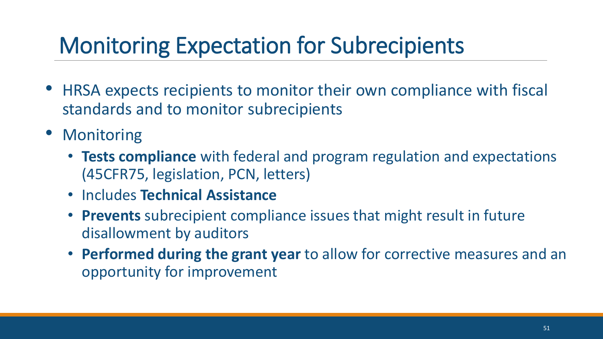## Monitoring Expectation for Subrecipients

- HRSA expects recipients to monitor their own compliance with fiscal standards and to monitor subrecipients
- Monitoring
	- **Tests compliance** with federal and program regulation and expectations (45CFR75, legislation, PCN, letters)
	- Includes **Technical Assistance**
	- **Prevents** subrecipient compliance issues that might result in future disallowment by auditors
	- **Performed during the grant year** to allow for corrective measures and an opportunity for improvement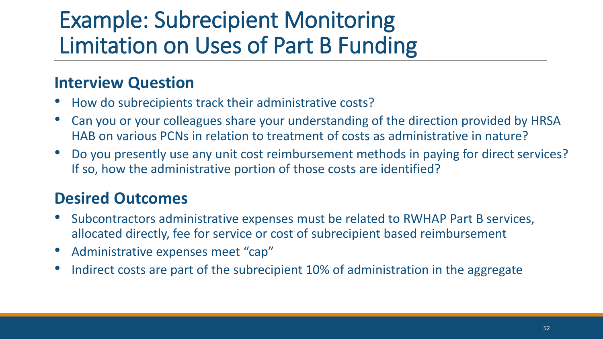### Example: Subrecipient Monitoring Limitation on Uses of Part B Funding

#### **Interview Question**

- How do subrecipients track their administrative costs?
- Can you or your colleagues share your understanding of the direction provided by HRSA HAB on various PCNs in relation to treatment of costs as administrative in nature?
- Do you presently use any unit cost reimbursement methods in paying for direct services? If so, how the administrative portion of those costs are identified?

#### **Desired Outcomes**

- Subcontractors administrative expenses must be related to RWHAP Part B services, allocated directly, fee for service or cost of subrecipient based reimbursement
- Administrative expenses meet "cap"
- Indirect costs are part of the subrecipient 10% of administration in the aggregate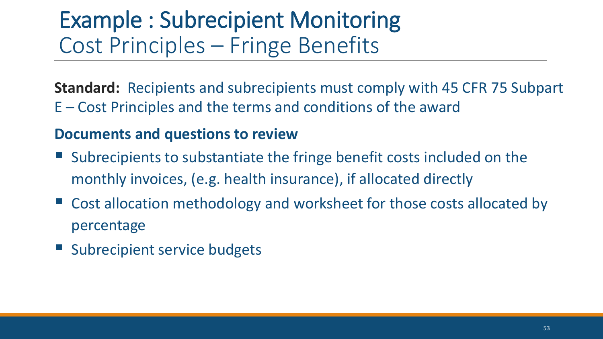### Example : Subrecipient Monitoring Cost Principles – Fringe Benefits

**Standard:** Recipients and subrecipients must comply with 45 CFR 75 Subpart E – Cost Principles and the terms and conditions of the award

#### **Documents and questions to review**

- Subrecipients to substantiate the fringe benefit costs included on the monthly invoices, (e.g. health insurance), if allocated directly
- Cost allocation methodology and worksheet for those costs allocated by percentage
- Subrecipient service budgets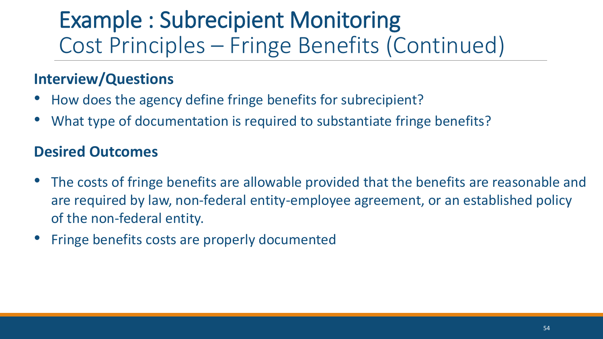### Example : Subrecipient Monitoring Cost Principles – Fringe Benefits (Continued)

#### **Interview/Questions**

- How does the agency define fringe benefits for subrecipient?
- What type of documentation is required to substantiate fringe benefits?

#### **Desired Outcomes**

- The costs of fringe benefits are allowable provided that the benefits are reasonable and are required by law, non-federal entity-employee agreement, or an established policy of the non-federal entity.
- Fringe benefits costs are properly documented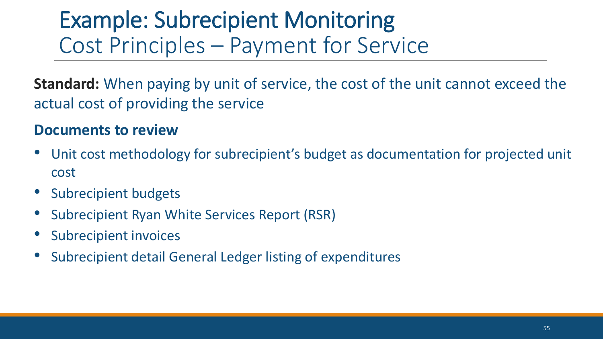### Example: Subrecipient Monitoring Cost Principles – Payment for Service

**Standard:** When paying by unit of service, the cost of the unit cannot exceed the actual cost of providing the service

#### **Documents to review**

- Unit cost methodology for subrecipient's budget as documentation for projected unit cost
- Subrecipient budgets
- Subrecipient Ryan White Services Report (RSR)
- Subrecipient invoices
- Subrecipient detail General Ledger listing of expenditures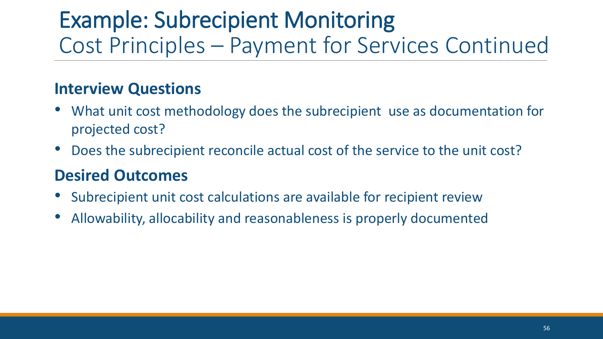### Example: Subrecipient Monitoring Cost Principles – Payment for Services Continued

#### **Interview Questions**

- What unit cost methodology does the subrecipient use as documentation for projected cost?
- Does the subrecipient reconcile actual cost of the service to the unit cost?

#### **Desired Outcomes**

- Subrecipient unit cost calculations are available for recipient review
- Allowability, allocability and reasonableness is properly documented